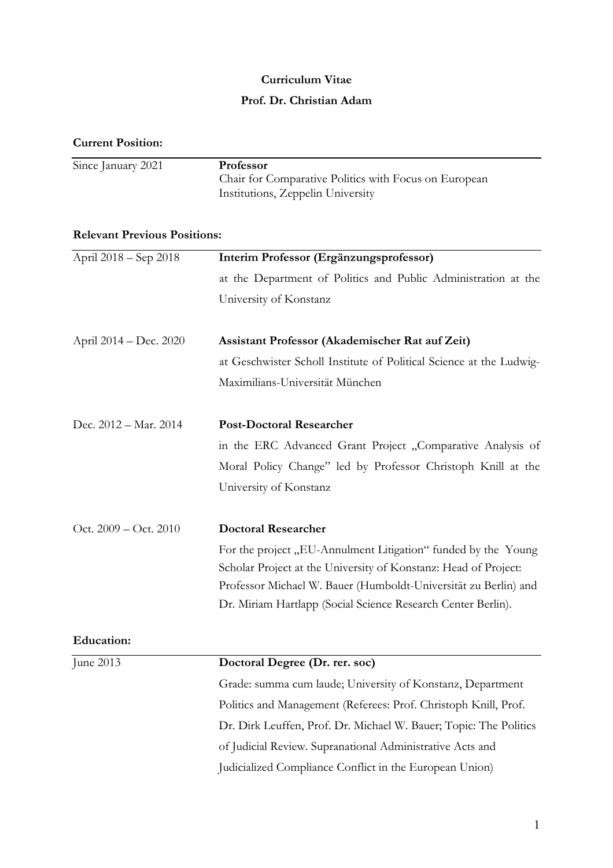#### **Curriculum Vitae**

### **Prof. Dr. Christian Adam**

|  | <b>Current Position:</b> |
|--|--------------------------|
|--|--------------------------|

| Since January 2021 | <b>Professor</b>                                      |
|--------------------|-------------------------------------------------------|
|                    | Chair for Comparative Politics with Focus on European |
|                    | Institutions, Zeppelin University                     |

# **Relevant Previous Positions:**

| April 2018 - Sep 2018  | Interim Professor (Ergänzungsprofessor)                             |
|------------------------|---------------------------------------------------------------------|
|                        | at the Department of Politics and Public Administration at the      |
|                        | University of Konstanz                                              |
| April 2014 – Dec. 2020 | Assistant Professor (Akademischer Rat auf Zeit)                     |
|                        | at Geschwister Scholl Institute of Political Science at the Ludwig- |
|                        | Maximilians-Universität München                                     |
| Dec. 2012 - Mar. 2014  | <b>Post-Doctoral Researcher</b>                                     |
|                        | in the ERC Advanced Grant Project "Comparative Analysis of          |
|                        | Moral Policy Change" led by Professor Christoph Knill at the        |
|                        | University of Konstanz                                              |
| Oct. 2009 - Oct. 2010  | <b>Doctoral Researcher</b>                                          |
|                        | For the project "EU-Annulment Litigation" funded by the Young       |
|                        | Scholar Project at the University of Konstanz: Head of Project:     |
|                        | Professor Michael W. Bauer (Humboldt-Universität zu Berlin) and     |
|                        | Dr. Miriam Hartlapp (Social Science Research Center Berlin).        |
| <b>Education:</b>      |                                                                     |
| June 2013              | Doctoral Degree (Dr. rer. soc)                                      |
|                        | Grade: summa cum laude; University of Konstanz, Department          |
|                        | Politics and Management (Referees: Prof. Christoph Knill, Prof.     |
|                        | Dr. Dirk Leuffen, Prof. Dr. Michael W. Bauer; Topic: The Politics   |
|                        | of Judicial Review. Supranational Administrative Acts and           |
|                        | Judicialized Compliance Conflict in the European Union)             |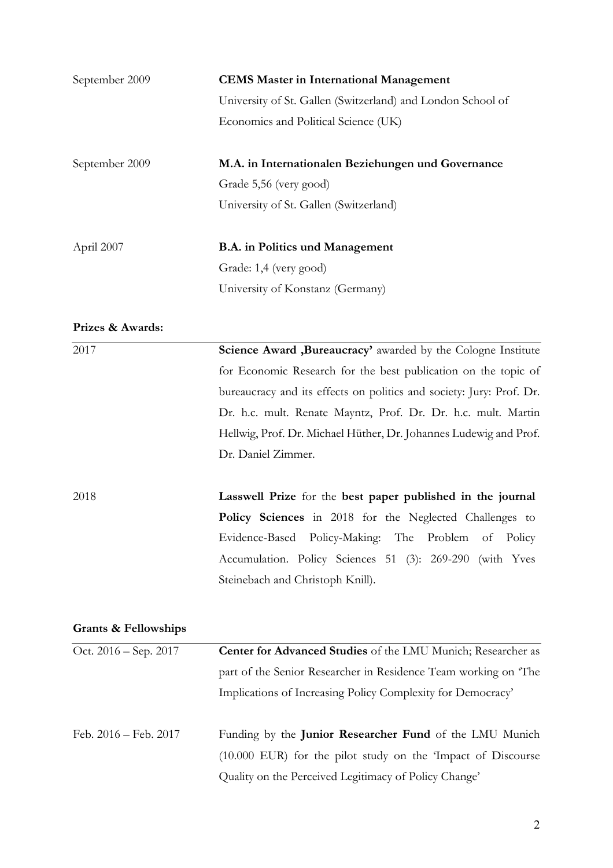| September 2009   | <b>CEMS Master in International Management</b>              |
|------------------|-------------------------------------------------------------|
|                  | University of St. Gallen (Switzerland) and London School of |
|                  | Economics and Political Science (UK)                        |
| September 2009   | M.A. in Internationalen Beziehungen und Governance          |
|                  | Grade 5,56 (very good)                                      |
|                  | University of St. Gallen (Switzerland)                      |
| April 2007       | <b>B.A.</b> in Politics und Management                      |
|                  | Grade: 1,4 (very good)                                      |
|                  | University of Konstanz (Germany)                            |
| Prizes & Awards: |                                                             |
| 2017             | Science Award, Bureaucracy' awarded by the Cologne Insti    |

| 2017 | <b>Science Award , Bureaucracy'</b> awarded by the Cologne Institute |
|------|----------------------------------------------------------------------|
|      | for Economic Research for the best publication on the topic of       |
|      | bureaucracy and its effects on politics and society: Jury: Prof. Dr. |
|      | Dr. h.c. mult. Renate Mayntz, Prof. Dr. Dr. h.c. mult. Martin        |
|      | Hellwig, Prof. Dr. Michael Hüther, Dr. Johannes Ludewig and Prof.    |
|      | Dr. Daniel Zimmer.                                                   |
|      |                                                                      |
| 2018 | Lasswell Prize for the best paper published in the journal           |
|      | <b>Policy Sciences</b> in 2018 for the Neglected Challenges to       |
|      | Evidence-Based Policy-Making: The Problem of Policy                  |

Accumulation. Policy Sciences 51 (3): 269-290 (with Yves

## **Grants & Fellowships**

| Oct. 2016 – Sep. 2017 | Center for Advanced Studies of the LMU Munich; Researcher as    |
|-----------------------|-----------------------------------------------------------------|
|                       | part of the Senior Researcher in Residence Team working on The  |
|                       | Implications of Increasing Policy Complexity for Democracy'     |
|                       |                                                                 |
| Feb. 2016 – Feb. 2017 | Funding by the Junior Researcher Fund of the LMU Munich         |
|                       | $(10.000)$ EUR) for the pilot study on the 'Impact of Discourse |
|                       | Quality on the Perceived Legitimacy of Policy Change'           |

Steinebach and Christoph Knill).